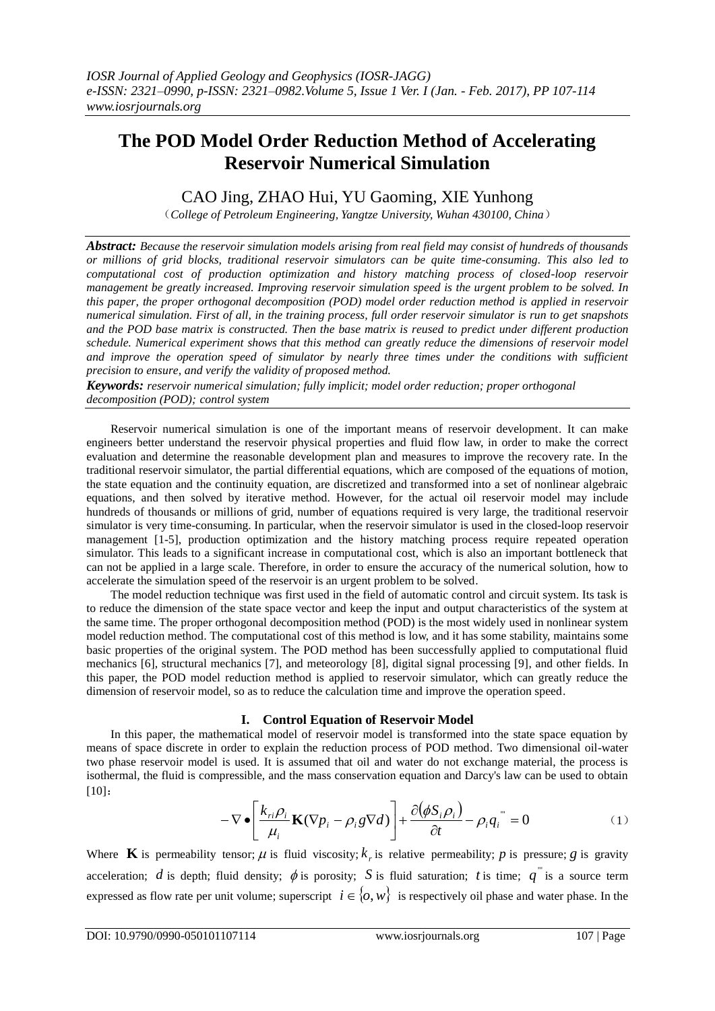# **The POD Model Order Reduction Method of Accelerating Reservoir Numerical Simulation**

# CAO Jing, ZHAO Hui, YU Gaoming, XIE Yunhong

(*College of Petroleum Engineering, Yangtze University, Wuhan 430100, China*)

*Abstract: Because the reservoir simulation models arising from real field may consist of hundreds of thousands or millions of grid blocks, traditional reservoir simulators can be quite time-consuming. This also led to computational cost of production optimization and history matching process of closed-loop reservoir management be greatly increased. Improving reservoir simulation speed is the urgent problem to be solved. In this paper, the proper orthogonal decomposition (POD) model order reduction method is applied in reservoir numerical simulation. First of all, in the training process, full order reservoir simulator is run to get snapshots and the POD base matrix is constructed. Then the base matrix is reused to predict under different production schedule. Numerical experiment shows that this method can greatly reduce the dimensions of reservoir model and improve the operation speed of simulator by nearly three times under the conditions with sufficient precision to ensure, and verify the validity of proposed method.*

*Keywords: reservoir numerical simulation; fully implicit; model order reduction; proper orthogonal decomposition (POD); control system*

Reservoir numerical simulation is one of the important means of reservoir development. It can make engineers better understand the reservoir physical properties and fluid flow law, in order to make the correct evaluation and determine the reasonable development plan and measures to improve the recovery rate. In the traditional reservoir simulator, the partial differential equations, which are composed of the equations of motion, the state equation and the continuity equation, are discretized and transformed into a set of nonlinear algebraic equations, and then solved by iterative method. However, for the actual oil reservoir model may include hundreds of thousands or millions of grid, number of equations required is very large, the traditional reservoir simulator is very time-consuming. In particular, when the reservoir simulator is used in the closed-loop reservoir management [1-5], production optimization and the history matching process require repeated operation simulator. This leads to a significant increase in computational cost, which is also an important bottleneck that can not be applied in a large scale. Therefore, in order to ensure the accuracy of the numerical solution, how to accelerate the simulation speed of the reservoir is an urgent problem to be solved.

The model reduction technique was first used in the field of automatic control and circuit system. Its task is to reduce the dimension of the state space vector and keep the input and output characteristics of the system at the same time. The proper orthogonal decomposition method (POD) is the most widely used in nonlinear system model reduction method. The computational cost of this method is low, and it has some stability, maintains some basic properties of the original system. The POD method has been successfully applied to computational fluid mechanics [6], structural mechanics [7], and meteorology [8], digital signal processing [9], and other fields. In this paper, the POD model reduction method is applied to reservoir simulator, which can greatly reduce the dimension of reservoir model, so as to reduce the calculation time and improve the operation speed.

## **I. Control Equation of Reservoir Model**

In this paper, the mathematical model of reservoir model is transformed into the state space equation by means of space discrete in order to explain the reduction process of POD method. Two dimensional oil-water two phase reservoir model is used. It is assumed that oil and water do not exchange material, the process is isothermal, the fluid is compressible, and the mass conservation equation and Darcy's law can be used to obtain [10]:

$$
-\nabla \bullet \left[\frac{k_{ri}\rho_i}{\mu_i} \mathbf{K}(\nabla p_i - \rho_i g \nabla d)\right] + \frac{\partial(\phi S_i \rho_i)}{\partial t} - \rho_i q_i^{(i)} = 0 \tag{1}
$$

Where **K** is permeability tensor;  $\mu$  is fluid viscosity;  $k_r$  is relative permeability; p is pressure; g is gravity acceleration; *d* is depth; fluid density;  $\phi$  is porosity; *S* is fluid saturation; *t* is time;  $q^{\text{}}$  is a source term expressed as flow rate per unit volume; superscript  $i \in \{0, w\}$  is respectively oil phase and water phase. In the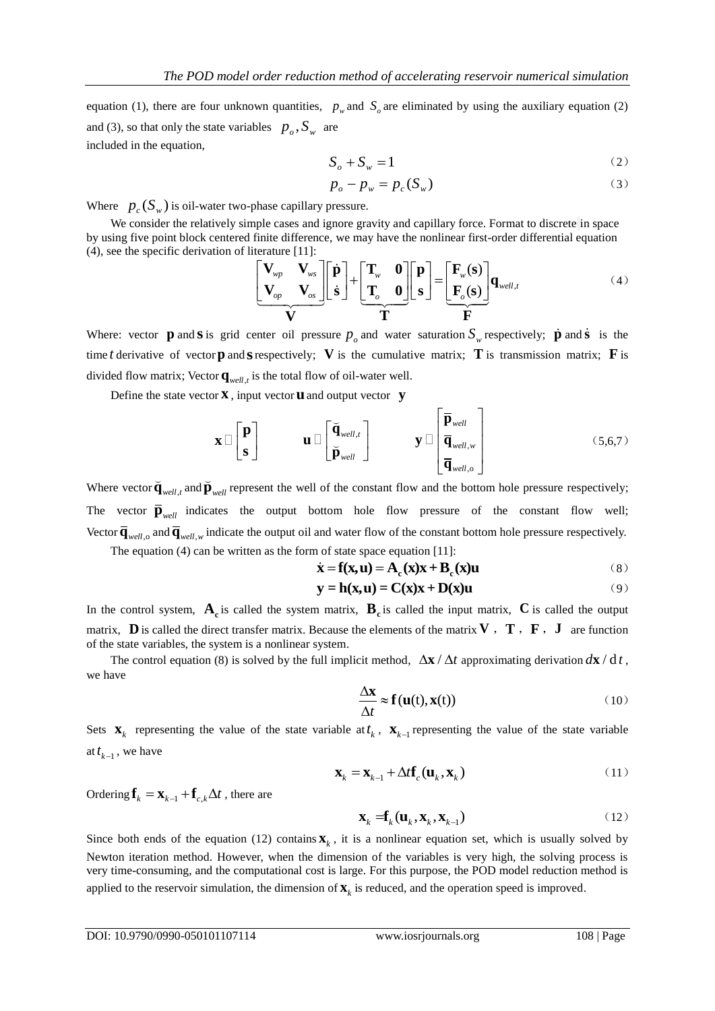equation (1), there are four unknown quantities,  $p_w$  and  $S_o$  are eliminated by using the auxiliary equation (2) and (3), so that only the state variables  $p_o$ ,  $S_w$  are included in the equation,

$$
S_o + S_w = 1 \tag{2}
$$

$$
p_o - p_w = p_c(S_w)
$$
 (3)

Where  $p_c(S_w)$  is oil-water two-phase capillary pressure.

We consider the relatively simple cases and ignore gravity and capillary force. Format to discrete in space (4), see the specific derivation of literature [11]:

by using five point block centered finite difference, we may have the nonlinear first-order differential equation  
\n(4), see the specific derivation of literature [11]:  
\n
$$
\left[\begin{array}{c}\n\mathbf{V}_{wp} & \mathbf{V}_{ws} \\
\hline\n\mathbf{V}_{op} & \mathbf{V}_{os}\n\end{array}\right]\n\left[\begin{array}{c}\n\dot{\mathbf{p}} \\
\hline\n\mathbf{T}_{o} & \mathbf{0}\n\end{array}\right]\n+\n\left[\begin{array}{c}\n\mathbf{T}_{w} & \mathbf{0} \\
\hline\n\mathbf{T}_{o}\n\end{array}\right]\n\left[\begin{array}{c}\n\mathbf{p} \\
\hline\n\mathbf{F}_{o}\n\end{array}\right]\n=\n\left[\begin{array}{c}\n\mathbf{F}_{w}(\mathbf{s}) \\
\hline\n\mathbf{F}_{o}(\mathbf{s})\n\end{array}\right]\n\mathbf{q}_{well,t}
$$
\n(4)

Where: vector **p** and **s** is grid center oil pressure  $p_o$  and water saturation  $S_w$  respectively; **p** and **s** is the time t derivative of vector **p** and **s** respectively; V is the cumulative matrix; T is transmission matrix; F is divided flow matrix; Vector  $\mathbf{q}_{well, t}$  is the total flow of oil-water well.

Define the state vector **x** , input vector **u** and output vector **y**

$$
\mathbf{x} \Box \begin{bmatrix} \mathbf{p} \\ \mathbf{s} \end{bmatrix} \qquad \mathbf{u} \Box \begin{bmatrix} \breve{\mathbf{q}}_{well,t} \\ \breve{\mathbf{p}}_{well} \end{bmatrix} \qquad \mathbf{y} \Box \begin{bmatrix} \overline{\mathbf{p}}_{well} \\ \overline{\mathbf{q}}_{well,v} \\ \overline{\mathbf{q}}_{well,o} \end{bmatrix}
$$
(5,6,7)

Where vector  $\overline{\mathbf{q}}_{well,t}$  and  $\overline{\mathbf{p}}_{well}$  represent the well of the constant flow and the bottom hole pressure respectively; The vector  $\overline{\mathbf{p}}_{well}$  indicates the output bottom hole flow pressure of the constant flow well; Vector  $\overline{\mathbf{q}}_{well,o}$  and  $\overline{\mathbf{q}}_{well,w}$  indicate the output oil and water flow of the constant bottom hole pressure respectively.

The equation (4) can be written as the form of state space equation [11]:<br> $\dot{\mathbf{x}} = \mathbf{f}(\mathbf{x}, \mathbf{u}) = \mathbf{A}_c(\mathbf{x})\mathbf{x} + \mathbf{B}_c(\mathbf{x})\mathbf{u}$ 

$$
\dot{\mathbf{x}} = \mathbf{f}(\mathbf{x}, \mathbf{u}) = \mathbf{A}_{\mathbf{c}}(\mathbf{x})\mathbf{x} + \mathbf{B}_{\mathbf{c}}(\mathbf{x})\mathbf{u}
$$
 (8)

$$
\mathbf{x} = \mathbf{1}(\mathbf{x}, \mathbf{u}) = \mathbf{1} \mathbf{x}_c(\mathbf{x}) \mathbf{x} + \mathbf{D}_c(\mathbf{x}) \mathbf{u}
$$
  

$$
\mathbf{y} = \mathbf{h}(\mathbf{x}, \mathbf{u}) = \mathbf{C}(\mathbf{x}) \mathbf{x} + \mathbf{D}(\mathbf{x}) \mathbf{u}
$$
(9)

In the control system,  $A_c$  is called the system matrix,  $B_c$  is called the input matrix,  $C$  is called the output matrix, **D** is called the direct transfer matrix. Because the elements of the matrix  $V$ ,  $T$ ,  $F$ ,  $J$  are function of the state variables, the system is a nonlinear system.

The control equation (8) is solved by the full implicit method,  $\Delta x / \Delta t$  approximating derivation  $d\mathbf{x} / dt$ , we have

$$
\frac{\Delta \mathbf{x}}{\Delta t} \approx \mathbf{f}(\mathbf{u}(t), \mathbf{x}(t)) \tag{10}
$$

Sets  $\mathbf{x}_k$  representing the value of the state variable at  $t_k$ ,  $\mathbf{x}_{k-1}$  representing the value of the state variable at  $t_{k-1}$ , we have

$$
\mathbf{X}_{k} = \mathbf{X}_{k-1} + \Delta t \mathbf{f}_{c}(\mathbf{u}_{k}, \mathbf{X}_{k})
$$
\n(11)

Ordering  $\mathbf{f}_k = \mathbf{x}_{k-1} + \mathbf{f}_{c,k} \Delta t$ , there are

$$
\mathbf{x}_{k} = \mathbf{f}_{k}(\mathbf{u}_{k}, \mathbf{x}_{k}, \mathbf{x}_{k-1})
$$
 (12)

Since both ends of the equation (12) contains  $\mathbf{x}_k$ , it is a nonlinear equation set, which is usually solved by Newton iteration method. However, when the dimension of the variables is very high, the solving process is very time-consuming, and the computational cost is large. For this purpose, the POD model reduction method is applied to the reservoir simulation, the dimension of  $\mathbf{X}_k$  is reduced, and the operation speed is improved.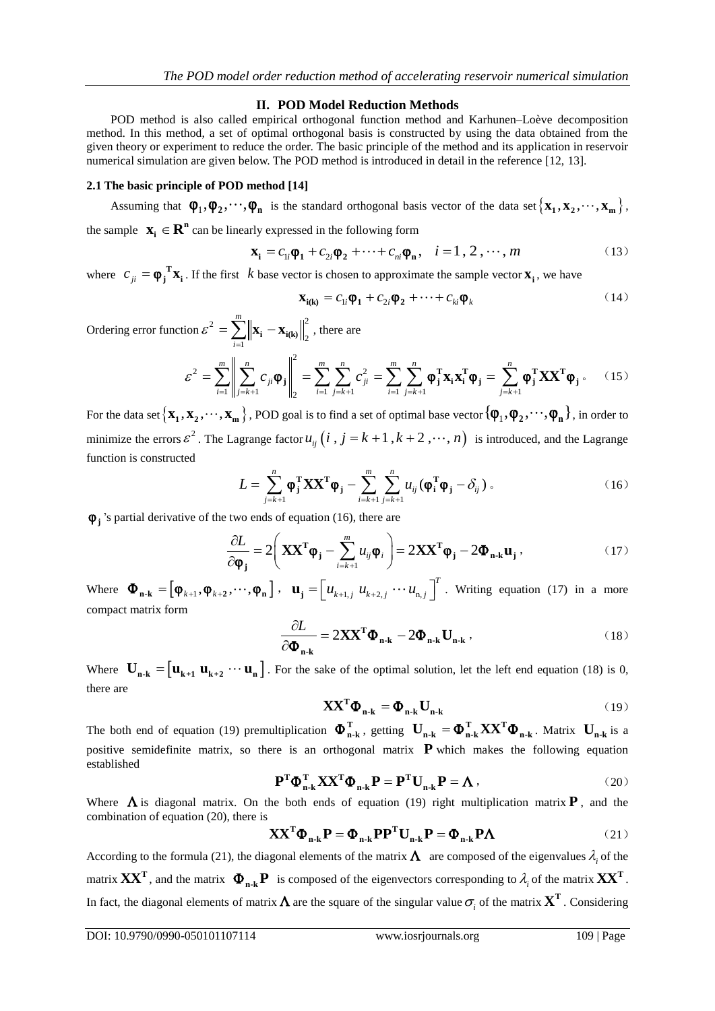#### **II. POD Model Reduction Methods**

POD method is also called empirical orthogonal function method and Karhunen–Loève decomposition method. In this method, a set of optimal orthogonal basis is constructed by using the data obtained from the given theory or experiment to reduce the order. The basic principle of the method and its application in reservoir numerical simulation are given below. The POD method is introduced in detail in the reference [12, 13].

### **2.1 The basic principle of POD method [14]**

Assuming that  $\varphi_1, \varphi_2, \dots, \varphi_n$  is the standard orthogonal basis vector of the data set  $\{x_1, x_2, \dots, x_m\}$ ,

the sample 
$$
\mathbf{x}_i \in \mathbf{R}^n
$$
 can be linearly expressed in the following form  

$$
\mathbf{x}_i = c_{1i}\boldsymbol{\varphi}_1 + c_{2i}\boldsymbol{\varphi}_2 + \dots + c_{ni}\boldsymbol{\varphi}_n, \quad i = 1, 2, \dots, m
$$
(13)

where  $c_{ji} = \boldsymbol{\varphi}_j^T \mathbf{x}_i$ . If the first  $k$  base vector is chosen to approximate the sample vector  $\mathbf{x}_i$ , we have<br>  $\mathbf{x}_{i(k)} = c_{1i} \boldsymbol{\varphi}_1 + c_{2i} \boldsymbol{\varphi}_2 + \cdots + c_{ki} \boldsymbol{\varphi}_k$  (14)

$$
\mathbf{x}_{i(k)} = c_{1i}\mathbf{\varphi}_1 + c_{2i}\mathbf{\varphi}_2 + \dots + c_{ki}\mathbf{\varphi}_k
$$
 (14)

Ordering error function  $\mathcal{E}^2 = \sum_{n=1}^{m} ||\mathbf{x}_i - \mathbf{x}_{i(k)}||^2$  $\frac{1}{1}$  1  $\frac{1}{1}$  1(**K**) ||2 *m i* ε  $= \sum_{i=1}^{m} \left\| \mathbf{x}_{i} - \mathbf{x}_{i(k)} \right\|_{2}^{2}$ , there are

$$
\mathbf{x}_{i(k)} - c_{1i}\mathbf{\varphi}_1 + c_{2i}\mathbf{\varphi}_2 + \cdots + c_{ki}\mathbf{\varphi}_k
$$
\n
$$
\text{for } \varepsilon^2 = \sum_{i=1}^m \left\| \mathbf{x}_i - \mathbf{x}_{i(k)} \right\|_2^2, \text{ there are}
$$
\n
$$
\varepsilon^2 = \sum_{i=1}^m \left\| \sum_{j=k+1}^n c_{ji} \mathbf{\varphi}_j \right\|_2^2 = \sum_{i=1}^m \sum_{j=k+1}^n c_{ji}^2 = \sum_{i=1}^m \sum_{j=k+1}^n \mathbf{\varphi}_j^T \mathbf{x}_i \mathbf{x}_i^T \mathbf{\varphi}_j = \sum_{j=k+1}^n \mathbf{\varphi}_j^T \mathbf{X} \mathbf{X}^T \mathbf{\varphi}_j. \quad (15)
$$

For the data set  $\{x_1, x_2, \cdots, x_m\}$ , POD goal is to find a set of optimal base vector  $\{\phi_1, \phi_2, \cdots, \phi_n\}$ , in order to minimize the errors  $\varepsilon^2$ . The Lagrange factor  $u_{ij}$   $(i, j = k + 1, k + 2, \dots, n)$  is introduced, and the Lagrange function is constructed<br> $L = \sum_{j=k+1}^n \varphi_j^T \mathbf{X} \mathbf{X}^T \varphi_j - \sum_{i=k+1}^m \sum_{j=k+1}^n u_{ij} (\varphi_i^T \varphi_j - \delta_{ij})$ . (16) function is constructed  $\frac{n}{\sqrt{n}}$   $\frac{n}{\sqrt{n}}$   $\frac{n}{\sqrt{n}}$ 

$$
L = \sum_{j=k+1}^{n} \boldsymbol{\phi}_{j}^{T} \mathbf{X} \mathbf{X}^{T} \boldsymbol{\phi}_{j} - \sum_{i=k+1}^{m} \sum_{j=k+1}^{n} u_{ij} (\boldsymbol{\phi}_{i}^{T} \boldsymbol{\phi}_{j} - \delta_{ij}) .
$$
 (16)

$$
\boldsymbol{\varphi}_j
$$
's partial derivative of the two ends of equation (16), there are\n
$$
\frac{\partial L}{\partial \boldsymbol{\varphi}_j} = 2 \left( \mathbf{X} \mathbf{X}^T \boldsymbol{\varphi}_j - \sum_{i=k+1}^m u_{ij} \boldsymbol{\varphi}_i \right) = 2 \mathbf{X} \mathbf{X}^T \boldsymbol{\varphi}_j - 2 \boldsymbol{\Phi}_{n-k} \mathbf{u}_j \,,
$$
\n(17)

Where  $\mathbf{\Phi}_{\mathbf{n}\cdot\mathbf{k}} = \left[\mathbf{\phi}_{k+1}, \mathbf{\phi}_{k+2}, \cdots, \mathbf{\phi}_{\mathbf{n}}\right], \quad \mathbf{u}_{\mathbf{j}} = \left[u_{k+1,j} \ u_{k+2,j} \cdots u_{\mathbf{n},j}\right]^T$ . Writing equation (17) in a more compact matrix form

$$
\frac{\partial L}{\partial \Phi_{n-k}} = 2\mathbf{X}\mathbf{X}^{\mathrm{T}}\Phi_{n-k} - 2\Phi_{n-k}\mathbf{U}_{n-k} \,,\tag{18}
$$

Where  $\mathbf{U}_{n-k} = [\mathbf{u}_{k+1} \ \mathbf{u}_{k+2} \ \cdots \ \mathbf{u}_{n}]$ . For the sake of the optimal solution, let the left end equation (18) is 0, there are

$$
\mathbf{X}\mathbf{X}^{\mathrm{T}}\mathbf{\Phi}_{\mathbf{n}\text{-}\mathbf{k}} = \mathbf{\Phi}_{\mathbf{n}\text{-}\mathbf{k}}\mathbf{U}_{\mathbf{n}\text{-}\mathbf{k}}\tag{19}
$$

The both end of equation (19) premultiplication  $\Phi_{n-k}^T$ , getting  $\mathbf{U}_{n-k} = \Phi_{n-k}^T \mathbf{X} \mathbf{X}^T \Phi_{n-k}$ . Matrix  $\mathbf{U}_{n-k}$  is a positive semidefinite matrix, so there is an orthogonal matrix **P** which makes the following equation established established $\mathbf{P}^{\rm T}\pmb{\Phi}_{\rm n\text{-}k}^{\rm T}\mathbf{X}\mathbf{X}^{\rm T}\pmb{\Phi}_{\rm n\text{-}k}\mathbf{P} = \mathbf{P}^{\rm T}\mathbf{U}_{\rm n\text{-}k}\mathbf{P} = \pmb{\Lambda}\;,$ 

$$
\mathbf{P}^{\mathrm{T}} \boldsymbol{\Phi}_{\mathbf{n}\cdot\mathbf{k}}^{\mathrm{T}} \mathbf{X} \mathbf{X}^{\mathrm{T}} \boldsymbol{\Phi}_{\mathbf{n}\cdot\mathbf{k}} \mathbf{P} = \mathbf{P}^{\mathrm{T}} \mathbf{U}_{\mathbf{n}\cdot\mathbf{k}} \mathbf{P} = \boldsymbol{\Lambda} \,, \tag{20}
$$

Where  $\Lambda$  is diagonal matrix. On the both ends of equation (19) right multiplication matrix **P**, and the combination of equation (20), there is<br>  $\mathbf{X} \mathbf{X}^T \mathbf{\Phi}_{n-k} \mathbf{P} = \mathbf{\Phi}_{n-k} \mathbf{P} \mathbf{P}^T \mathbf{U}_{n-k} \mathbf{P} = \mathbf{\Phi}_{n-k}$ 

$$
\mathbf{X} \mathbf{X}^{\mathrm{T}} \boldsymbol{\Phi}_{n-k} \mathbf{P} = \boldsymbol{\Phi}_{n-k} \mathbf{P} \mathbf{P}^{\mathrm{T}} \mathbf{U}_{n-k} \mathbf{P} = \boldsymbol{\Phi}_{n-k} \mathbf{P} \boldsymbol{\Lambda}
$$
 (21)

According to the formula (21), the diagonal elements of the matrix  $\Lambda$  are composed of the eigenvalues  $\lambda_i$  of the matrix  $\mathbf{X}\mathbf{X}^{\mathbf{T}}$ , and the matrix  $\mathbf{\Phi}_{\mathbf{n-k}}\mathbf{P}$  is composed of the eigenvectors corresponding to  $\lambda_i$  of the matrix  $\mathbf{X}\mathbf{X}^{\mathbf{T}}$ . In fact, the diagonal elements of matrix  $\Lambda$  are the square of the singular value  $\sigma_i$  of the matrix  $X^T$ . Considering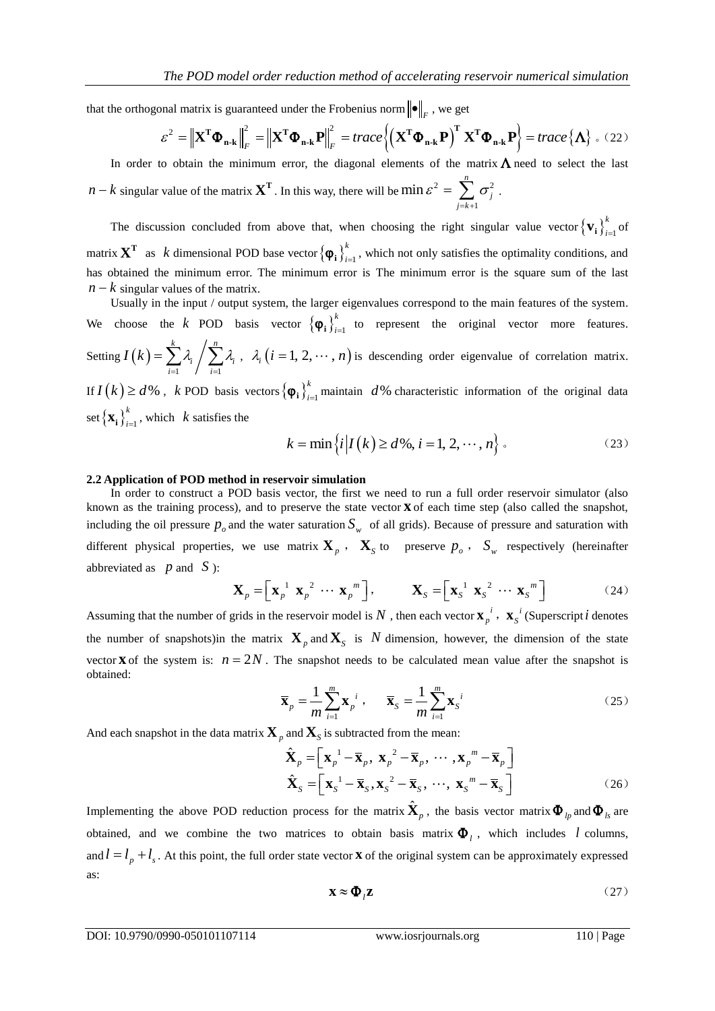that the orthogonal matrix is guaranteed under the Frobenius norm  $\|\bullet\|_F$ , we get<br>  $\varepsilon^2 = \|\mathbf{X}^T \mathbf{\Phi} - \mathbf{F}\|^2 = \|\mathbf{X}^T \mathbf{\Phi} - \mathbf{P}\|^2 = \text{trace} \left\{ (\mathbf{X}^T \mathbf{\Phi} - \mathbf{P})^T \mathbf{Y} \right\}$ 

that the orthogonal matrix is guaranteed under the Frobenius norm 
$$
\|\bullet\|_F
$$
, we get  
\n
$$
\varepsilon^2 = \left\| \mathbf{X}^T \boldsymbol{\Phi}_{\mathbf{n} \cdot \mathbf{k}} \right\|_F^2 = \left\| \mathbf{X}^T \boldsymbol{\Phi}_{\mathbf{n} \cdot \mathbf{k}} \mathbf{P} \right\|_F^2 = trace \left\{ \left( \mathbf{X}^T \boldsymbol{\Phi}_{\mathbf{n} \cdot \mathbf{k}} \mathbf{P} \right)^T \mathbf{X}^T \boldsymbol{\Phi}_{\mathbf{n} \cdot \mathbf{k}} \mathbf{P} \right\} = trace \left\{ \mathbf{\Lambda} \right\}.
$$
 (22)

In order to obtain the minimum error, the diagonal elements of the matrix  $\Lambda$  need to select the last  $n - k$  singular value of the matrix  $X<sup>T</sup>$ . In this way, there will be min  $\varepsilon<sup>2</sup> = \sum_{i} \sigma_i^2$ 1  $\min \varepsilon^2 = \sum_{n=1}^{\infty}$  $\sum_{j=k+1}$ <sup>*U*</sup> *j*  $\varepsilon^2 = \sum \sigma_i^2$  $=\sum_{j=k+1}^{\infty}\sigma_j^2$  .

The discussion concluded from above that, when choosing the right singular value vector  $\{v_i\}_{i=1}^k$  $\mathbf{v}_i \}_{i=1}^{\kappa}$  of matrix  $X^T$  as *k* dimensional POD base vector  $\{\varphi_i\}_{i=1}^k$  $\varphi_i \bigg\rangle_{i=1}^k$ , which not only satisfies the optimality conditions, and has obtained the minimum error. The minimum error is The minimum error is the square sum of the last  $n - k$  singular values of the matrix.

Usually in the input / output system, the larger eigenvalues correspond to the main features of the system. We choose the *k* POD basis vector  $\{\boldsymbol{\varphi}_i\}_{i=1}^k$  $\varphi_i \bigg|_{i=1}^k$  to represent the original vector more features. Setting  $I(k)$  $\frac{1}{i}$  /  $\frac{1}{i}$ *k n*  $i$  /  $\sum_i \lambda_i$  $\overline{i=1}$  /  $\overline{i}$  $I(k) = \sum_{i=1}^{k} \lambda_i / \sum_{i=1}^{k} \lambda_i$  $=\sum_{i=1}^k \lambda_i / \sum_{i=1}^n \lambda_i$ ,  $\lambda_i$  (*i* = 1, 2, ..., *n*) is descending order eigenvalue of correlation matrix. If  $I(k) \ge d$ %, *k* POD basis vectors  $\{\boldsymbol{\varphi}_i\}_{i=1}^k$  $\varphi_i$ <sup>k</sup><sub>i $=$ 1</sub> maintain *d*% characteristic information of the original data set  $\left\{\mathbf{x_i}\right\}_{i=1}^k$  $\mathbf{x}_i \bigg|_{i=1}^k$ , which  $k$  satisfies the

set 
$$
\{X_i\}_{i=1}
$$
, which *k* satisfies the  

$$
k = \min\left\{i \middle| I(k) \ge d\%, i = 1, 2, \cdots, n\right\}.
$$
 (23)

#### **2.2 Application of POD method in reservoir simulation**

In order to construct a POD basis vector, the first we need to run a full order reservoir simulator (also known as the training process), and to preserve the state vector **x** of each time step (also called the snapshot, including the oil pressure  $p_o$  and the water saturation  $S_w$  of all grids). Because of pressure and saturation with different physical properties, we use matrix  $\mathbf{X}_p$ ,  $\mathbf{X}_s$  to preserve  $p_o$ ,  $S_w$  respectively (hereinafter abbreviated as  $p$  and  $S$ ):

$$
\mathbf{X}_p = \left[ \mathbf{x}_p^{-1} \ \mathbf{x}_p^{-2} \ \cdots \ \mathbf{x}_p^{-m} \right], \qquad \mathbf{X}_S = \left[ \mathbf{x}_S^{-1} \ \mathbf{x}_S^{-2} \ \cdots \ \mathbf{x}_S^{-m} \right] \tag{24}
$$

Assuming that the number of grids in the reservoir model is N, then each vector  $\mathbf{x}_p^i$ ,  $\mathbf{x}_s^i$  (Superscript *i* denotes the number of snapshots)in the matrix  $\mathbf{X}_p$  and  $\mathbf{X}_s$  is N dimension, however, the dimension of the state vector **x** of the system is:  $n = 2N$ . The snapshot needs to be calculated mean value after the snapshot is obtained:

$$
\overline{\mathbf{x}}_p = \frac{1}{m} \sum_{i=1}^m \mathbf{x}_p^{i}, \qquad \overline{\mathbf{x}}_S = \frac{1}{m} \sum_{i=1}^m \mathbf{x}_S^{i}
$$
 (25)

And each snapshot in the data matrix 
$$
\mathbf{X}_p
$$
 and  $\mathbf{X}_S$  is subtracted from the mean:  
\n
$$
\hat{\mathbf{X}}_p = \left[ \mathbf{x}_p^{-1} - \overline{\mathbf{x}}_p, \mathbf{x}_p^{-2} - \overline{\mathbf{x}}_p, \cdots, \mathbf{x}_p^{-m} - \overline{\mathbf{x}}_p \right]
$$
\n
$$
\hat{\mathbf{X}}_S = \left[ \mathbf{x}_S^{-1} - \overline{\mathbf{x}}_S, \mathbf{x}_S^{-2} - \overline{\mathbf{x}}_S, \cdots, \mathbf{x}_S^{-m} - \overline{\mathbf{x}}_S \right]
$$
\n(26)

Implementing the above POD reduction process for the matrix  $\hat{\mathbf{X}}_p$ , the basis vector matrix  $\mathbf{\Phi}_{lp}$  and  $\mathbf{\Phi}_{ls}$  are obtained, and we combine the two matrices to obtain basis matrix  $\Phi$ <sub>l</sub>, which includes l columns, and  $l = l_p + l_s$ . At this point, the full order state vector **x** of the original system can be approximately expressed as:

$$
\mathbf{X} \approx \mathbf{\Phi}_l \mathbf{Z} \tag{27}
$$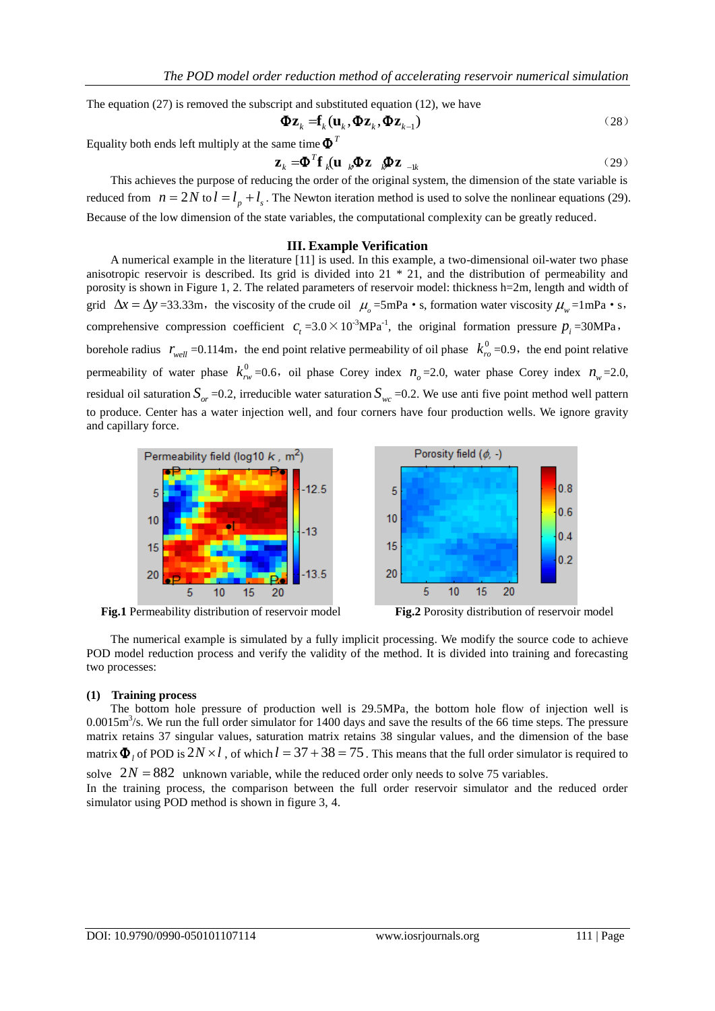The equation (27) is removed the subscript and substituted equation (12), we have  
\n
$$
\Phi \mathbf{z}_k = \mathbf{f}_k(\mathbf{u}_k, \Phi \mathbf{z}_k, \Phi \mathbf{z}_{k-1})
$$
\n(28)

Equality both ends left multiply at the same time  $\pmb{\Phi}^{\mathit{T}}$ 

$$
\mathbf{z}_{k} = \mathbf{\Phi}^{T} \mathbf{f}_{k} (\mathbf{u}_{k} \mathbf{\Phi} \mathbf{z}_{k} \mathbf{\Phi} \mathbf{z}_{k})
$$
 (29)

This achieves the purpose of reducing the order of the original system, the dimension of the state variable is reduced from  $n = 2N$  to  $l = l_p + l_s$ . The Newton iteration method is used to solve the nonlinear equations (29). Because of the low dimension of the state variables, the computational complexity can be greatly reduced.

#### **III. Example Verification**

A numerical example in the literature [11] is used. In this example, a two-dimensional oil-water two phase anisotropic reservoir is described. Its grid is divided into 21 \* 21, and the distribution of permeability and porosity is shown in Figure 1, 2. The related parameters of reservoir model: thickness h=2m, length and width of grid  $\Delta x = \Delta y = 33.33 \text{m}$ , the viscosity of the crude oil  $\mu_o = 5 \text{mPa} \cdot \text{s}$ , formation water viscosity  $\mu_w = 1 \text{mPa} \cdot \text{s}$ , comprehensive compression coefficient  $c_t = 3.0 \times 10^{-3} \text{MPa}^{-1}$ , the original formation pressure  $p_i = 30 \text{MPa}$ , borehole radius  $r_{well} = 0.114 \text{m}$ , the end point relative permeability of oil phase  $k_{ro}^0 = 0.9$ , the end point relative permeability of water phase  $k_{rw}^0$  =0.6, oil phase Corey index  $n_o$  =2.0, water phase Corey index  $n_w$  =2.0, residual oil saturation  $S_{or}$  =0.2, irreducible water saturation  $S_{wc}$  =0.2. We use anti five point method well pattern to produce. Center has a water injection well, and four corners have four production wells. We ignore gravity and capillary force.



**Fig.1** Permeability distribution of reservoir model **Fig.2** Porosity distribution of reservoir model



The numerical example is simulated by a fully implicit processing. We modify the source code to achieve POD model reduction process and verify the validity of the method. It is divided into training and forecasting two processes:

#### **(1) Training process**

The bottom hole pressure of production well is 29.5MPa, the bottom hole flow of injection well is  $0.0015 \text{m}^3/\text{s}$ . We run the full order simulator for 1400 days and save the results of the 66 time steps. The pressure matrix retains 37 singular values, saturation matrix retains 38 singular values, and the dimension of the base matrix  $\Phi_l$  of POD is  $2N \times l$ , of which  $l = 37 + 38 = 75$ . This means that the full order simulator is required to

solve  $2N = 882$  unknown variable, while the reduced order only needs to solve 75 variables.

In the training process, the comparison between the full order reservoir simulator and the reduced order simulator using POD method is shown in figure 3, 4.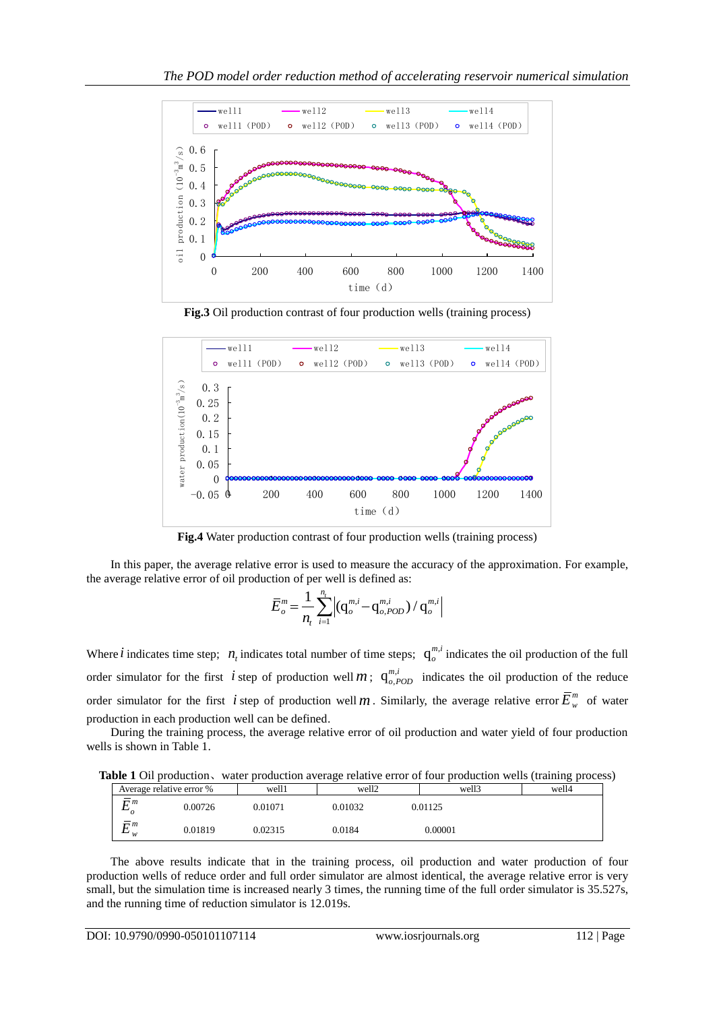

**Fig.3** Oil production contrast of four production wells (training process)



**Fig.4** Water production contrast of four production wells (training process)

In this paper, the average relative error is used to measure the accuracy of the approximation. For example, the average relative error of oil production of per well is defined as:

$$
\overline{E}_{o}^{m} = \frac{1}{n_{t}} \sum_{i=1}^{n_{t}} \left| (\mathbf{q}_{o}^{m,i} - \mathbf{q}_{o,POD}^{m,i}) / \mathbf{q}_{o}^{m,i} \right|
$$

Where *i* indicates time step;  $n_t$  indicates total number of time steps;  $q_o^{m,t}$  $\int_{0}^{m,t}$  indicates the oil production of the full order simulator for the first *i* step of production well *m*;  $q_{o,t}^{m,i}$  $\frac{m,l}{\rho,POD}$  indicates the oil production of the reduce order simulator for the first *i* step of production well *m*. Similarly, the average relative error  $\bar{E}_{w}^{m}$  of water production in each production well can be defined.

During the training process, the average relative error of oil production and water yield of four production wells is shown in Table 1.

**Table 1** Oil production、water production average relative error of four production wells (training process)

| Average relative error % |         | well1   | ີ<br>well2 | well3   | ັ້<br>well4 |
|--------------------------|---------|---------|------------|---------|-------------|
| $\Box$ m                 | 0.00726 | 0.01071 | 0.01032    | 0.01125 |             |
| $\Box$ m<br>∸<br>w       | 0.01819 | 0.02315 | 0.0184     | 0.00001 |             |

The above results indicate that in the training process, oil production and water production of four production wells of reduce order and full order simulator are almost identical, the average relative error is very small, but the simulation time is increased nearly 3 times, the running time of the full order simulator is 35.527s, and the running time of reduction simulator is 12.019s.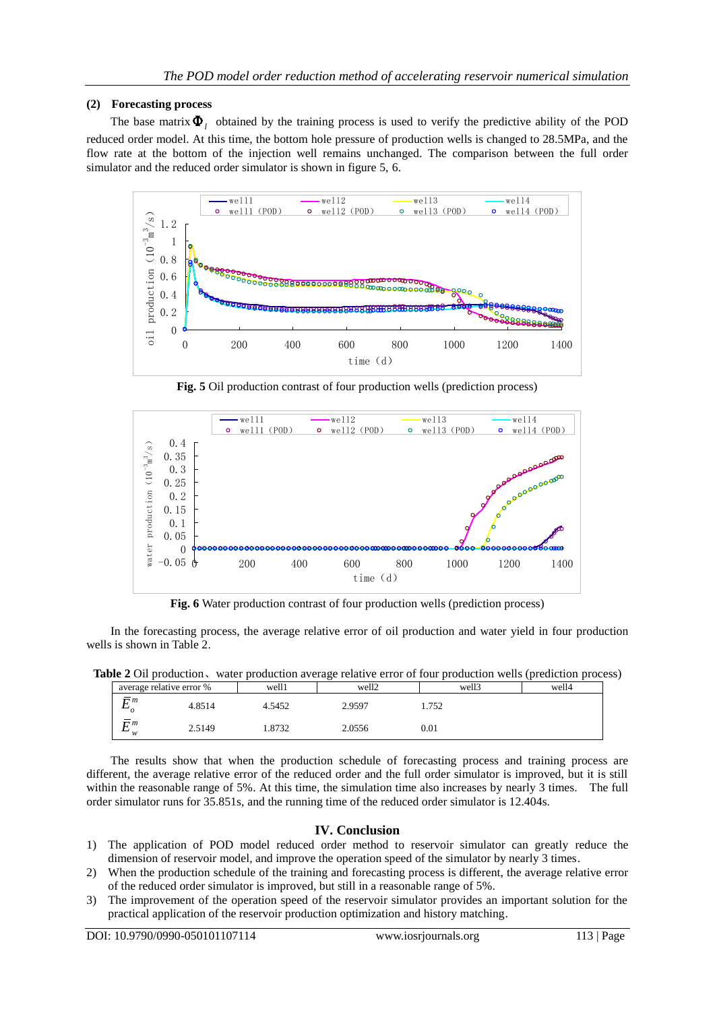# **(2) Forecasting process**

The base matrix  $\Phi$ <sub>l</sub> obtained by the training process is used to verify the predictive ability of the POD reduced order model. At this time, the bottom hole pressure of production wells is changed to 28.5MPa, and the flow rate at the bottom of the injection well remains unchanged. The comparison between the full order simulator and the reduced order simulator is shown in figure 5, 6.



**Fig. 5** Oil production contrast of four production wells (prediction process)



**Fig. 6** Water production contrast of four production wells (prediction process)

In the forecasting process, the average relative error of oil production and water yield in four production wells is shown in Table 2.

**Table 2** Oil production、water production average relative error of four production wells (prediction process)

| average relative error % |        | well1  | well2  | well3     | well4 |
|--------------------------|--------|--------|--------|-----------|-------|
| $\overline{r}$ m         | 4.8514 | 4.5452 | 2.9597 | 1.752     |       |
| $\overline{m}$<br>-<br>w | 2.5149 | 1.8732 | 2.0556 | $_{0.01}$ |       |

The results show that when the production schedule of forecasting process and training process are different, the average relative error of the reduced order and the full order simulator is improved, but it is still within the reasonable range of 5%. At this time, the simulation time also increases by nearly 3 times. The full order simulator runs for 35.851s, and the running time of the reduced order simulator is 12.404s.

# **IV. Conclusion**

- 1) The application of POD model reduced order method to reservoir simulator can greatly reduce the dimension of reservoir model, and improve the operation speed of the simulator by nearly 3 times.
- 2) When the production schedule of the training and forecasting process is different, the average relative error of the reduced order simulator is improved, but still in a reasonable range of 5%.
- 3) The improvement of the operation speed of the reservoir simulator provides an important solution for the practical application of the reservoir production optimization and history matching.